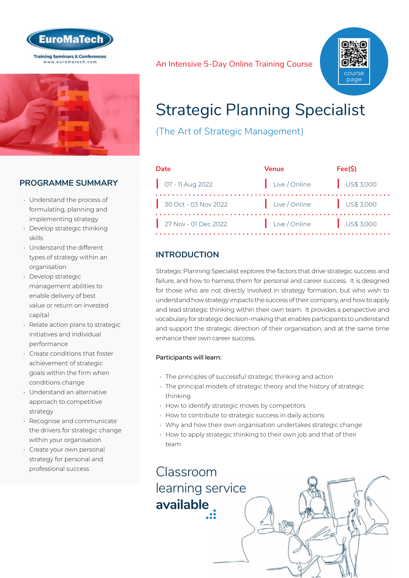



## **PROGRAMME SUMMARY**

- Understand the process of formulating, planning and implementing strategy
- Develop strategic thinking skills
- Understand the different types of strategy within an organisation
- Develop strategic management abilities to enable delivery of best value or return on invested capital
- Relate action plans to strategic initiatives and individual performance
- Create conditions that foster achievement of strategic goals within the firm when conditions change
- Understand an alternative approach to competitive strategy
- Recognise and communicate the drivers for strategic change within your organisation
- Create your own personal strategy for personal and professional success

## An Intensive 5-Day Online Training Course



## Strategic Planning Specialist

(The Art of Strategic Management)

| Date                       | <b>Venue</b>          | Fee(S)               |
|----------------------------|-----------------------|----------------------|
| $\bigcup$ 07 - 11 Aug 2022 | Live / Online         | $\bigcup$ US\$ 3,000 |
| $30$ Oct - 03 Nov 2022     | Live/Online US\$3,000 |                      |
| 27 Nov - 01 Dec 2022       | Live/Online US\$3,000 |                      |

## **INTRODUCTION**

Strategic Planning Specialist explores the factors that drive strategic success and failure, and how to harness them for personal and career success. It is designed for those who are not directly involved in strategy formation, but who wish to understand how strategy impacts the success of their company, and how to apply and lead strategic thinking within their own team. It provides a perspective and vocabulary for strategic decision-making that enables participants to understand and support the strategic direction of their organisation, and at the same time enhance their own career success.

#### Participants will learn:

- The principles of successful strategic thinking and action
- The principal models of strategic theory and the history of strategic thinking
- How to identify strategic moves by competitors
- How to contribute to strategic success in daily actions
- Why and how their own organisation undertakes strategic change
- How to apply strategic thinking to their own job and that of their team

Classroom [learning service](https://www.euromatech.com/seminars/strategic-planning-specialist-the-art-of-strategic-management/)  **available**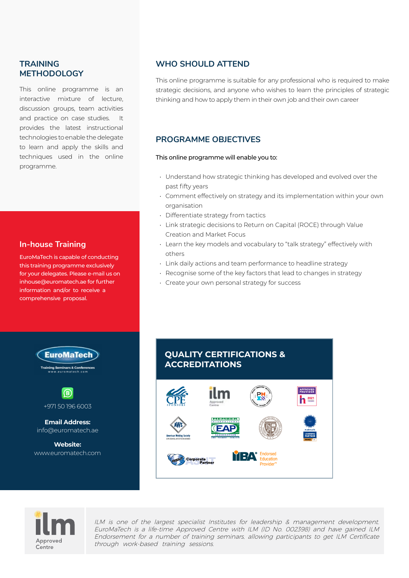### **TRAINING METHODOLOGY**

This online programme is an interactive mixture of lecture, discussion groups, team activities and practice on case studies. It provides the latest instructional technologies to enable the delegate to learn and apply the skills and techniques used in the online programme.

#### **In-house Training**

EuroMaTech is capable of conducting this training programme exclusively for your delegates. Please e-mail us on inhouse@euromatech.ae for further information and/or to receive a comprehensive proposal.

### **WHO SHOULD ATTEND**

This online programme is suitable for any professional who is required to make strategic decisions, and anyone who wishes to learn the principles of strategic thinking and how to apply them in their own job and their own career

### **PROGRAMME OBJECTIVES**

This online programme will enable you to:

- Understand how strategic thinking has developed and evolved over the past fifty years
- Comment effectively on strategy and its implementation within your own organisation
- Differentiate strategy from tactics
- Link strategic decisions to Return on Capital (ROCE) through Value Creation and Market Focus
- Learn the key models and vocabulary to "talk strategy" effectively with others
- Link daily actions and team performance to headline strategy
- Recognise some of the key factors that lead to changes in strategy
- Create your own personal strategy for success



## **QUALITY CERTIFICATIONS & ACCREDITATIONS**





ILM is one of the largest specialist Institutes for leadership & management development. EuroMaTech is a life-time Approved Centre with ILM (ID No. 002398) and have gained ILM Endorsement for a number of training seminars, allowing participants to get ILM Certificate through work-based training sessions.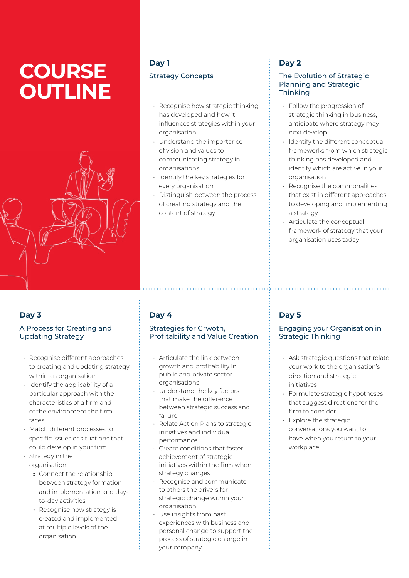# **COURSE OUTLINE**



## **Day 1**

## Strategy Concepts

- Recognise how strategic thinking has developed and how it influences strategies within your organisation
- Understand the importance of vision and values to communicating strategy in organisations
- Identify the key strategies for every organisation
- Distinguish between the process of creating strategy and the content of strategy

## **Day 2**

#### The Evolution of Strategic Planning and Strategic Thinking

- Follow the progression of strategic thinking in business, anticipate where strategy may next develop
- Identify the different conceptual frameworks from which strategic thinking has developed and identify which are active in your organisation
- Recognise the commonalities that exist in different approaches to developing and implementing a strategy
- Articulate the conceptual framework of strategy that your organisation uses today

## **Day 3**

### A Process for Creating and Updating Strategy

- Recognise different approaches to creating and updating strategy within an organisation
- Identify the applicability of a particular approach with the characteristics of a firm and of the environment the firm faces
- Match different processes to specific issues or situations that could develop in your firm
- Strategy in the organisation
	- » Connect the relationship between strategy formation and implementation and dayto-day activities
	- » Recognise how strategy is created and implemented at multiple levels of the organisation

## **Day 4**

#### Strategies for Grwoth, Profitability and Value Creation

- Articulate the link between growth and profitability in public and private sector organisations
- Understand the key factors that make the difference between strategic success and failure
- Relate Action Plans to strategic initiatives and individual performance
- Create conditions that foster achievement of strategic initiatives within the firm when strategy changes
- Recognise and communicate to others the drivers for strategic change within your organisation
- Use insights from past experiences with business and personal change to support the process of strategic change in your company

## **Day 5**

#### Engaging your Organisation in Strategic Thinking

- Ask strategic questions that relate your work to the organisation's direction and strategic initiatives
- Formulate strategic hypotheses that suggest directions for the firm to consider
- Explore the strategic conversations you want to have when you return to your workplace